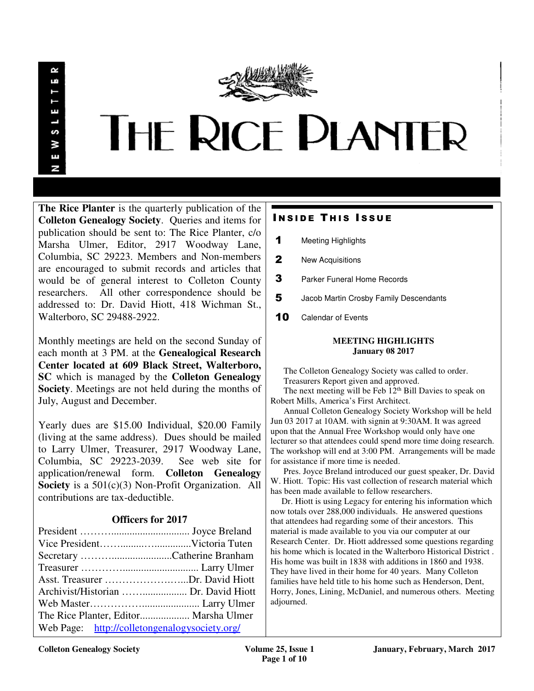œ LÚ S У E N



**The Rice Planter** is the quarterly publication of the **Colleton Genealogy Society**. Queries and items for publication should be sent to: The Rice Planter, c/o Marsha Ulmer, Editor, 2917 Woodway Lane, Columbia, SC 29223. Members and Non-members are encouraged to submit records and articles that would be of general interest to Colleton County researchers. All other correspondence should be addressed to: Dr. David Hiott, 418 Wichman St., Walterboro, SC 29488-2922.

Monthly meetings are held on the second Sunday of each month at 3 PM. at the **Genealogical Research Center located at 609 Black Street, Walterboro, SC** which is managed by the **Colleton Genealogy Society**. Meetings are not held during the months of July, August and December.

Yearly dues are \$15.00 Individual, \$20.00 Family (living at the same address). Dues should be mailed to Larry Ulmer, Treasurer, 2917 Woodway Lane, Columbia, SC 29223-2039. See web site for application/renewal form. **Colleton Genealogy Society** is a 501(c)(3) Non-Profit Organization. All contributions are tax-deductible.

# **Officers for 2017**

| Asst. Treasurer Dr. David Hiott               |  |
|-----------------------------------------------|--|
| Archivist/Historian  Dr. David Hiott          |  |
|                                               |  |
| The Rice Planter, Editor Marsha Ulmer         |  |
| Web Page: http://colletongenalogysociety.org/ |  |

# **INSIDE THIS ISSUE**

- 1 Meeting Highlights
- 2 New Acquisitions
- **3** Parker Funeral Home Records
- 5 Jacob Martin Crosby Family Descendants
- 10 Calendar of Events

#### **MEETING HIGHLIGHTS January 08 2017**

 The Colleton Genealogy Society was called to order. Treasurers Report given and approved.

The next meeting will be Feb  $12<sup>th</sup>$  Bill Davies to speak on Robert Mills, America's First Architect.

 Annual Colleton Genealogy Society Workshop will be held Jun 03 2017 at 10AM. with signin at 9:30AM. It was agreed upon that the Annual Free Workshop would only have one lecturer so that attendees could spend more time doing research. The workshop will end at 3:00 PM. Arrangements will be made for assistance if more time is needed.

 Pres. Joyce Breland introduced our guest speaker, Dr. David W. Hiott. Topic: His vast collection of research material which has been made available to fellow researchers.

 Dr. Hiott is using Legacy for entering his information which now totals over 288,000 individuals. He answered questions that attendees had regarding some of their ancestors. This material is made available to you via our computer at our Research Center. Dr. Hiott addressed some questions regarding his home which is located in the Walterboro Historical District . His home was built in 1838 with additions in 1860 and 1938. They have lived in their home for 40 years. Many Colleton families have held title to his home such as Henderson, Dent, Horry, Jones, Lining, McDaniel, and numerous others. Meeting adjourned.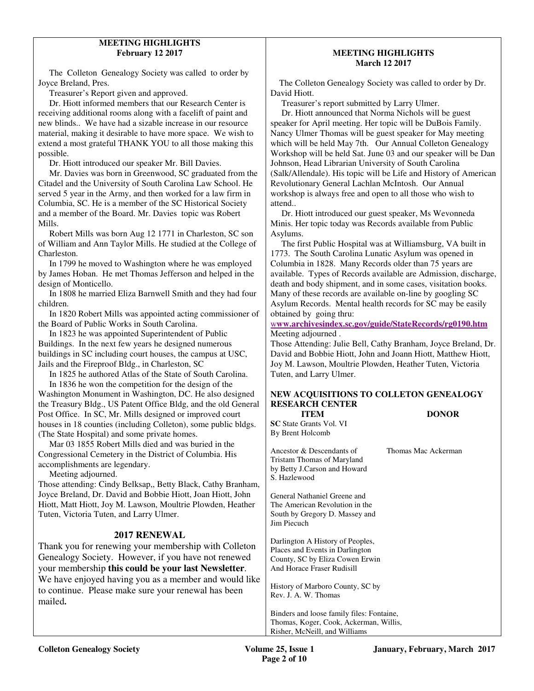## **MEETING HIGHLIGHTS February 12 2017**

The Colleton Genealogy Society was called to order by Joyce Breland, Pres.

Treasurer's Report given and approved.

 Dr. Hiott informed members that our Research Center is receiving additional rooms along with a facelift of paint and new blinds.. We have had a sizable increase in our resource material, making it desirable to have more space. We wish to extend a most grateful THANK YOU to all those making this possible.

Dr. Hiott introduced our speaker Mr. Bill Davies.

 Mr. Davies was born in Greenwood, SC graduated from the Citadel and the University of South Carolina Law School. He served 5 year in the Army, and then worked for a law firm in Columbia, SC. He is a member of the SC Historical Society and a member of the Board. Mr. Davies topic was Robert Mills.

 Robert Mills was born Aug 12 1771 in Charleston, SC son of William and Ann Taylor Mills. He studied at the College of Charleston.

 In 1799 he moved to Washington where he was employed by James Hoban. He met Thomas Jefferson and helped in the design of Monticello.

 In 1808 he married Eliza Barnwell Smith and they had four children.

 In 1820 Robert Mills was appointed acting commissioner of the Board of Public Works in South Carolina.

 In 1823 he was appointed Superintendent of Public Buildings. In the next few years he designed numerous buildings in SC including court houses, the campus at USC, Jails and the Fireproof Bldg., in Charleston, SC

 In 1825 he authored Atlas of the State of South Carolina. In 1836 he won the competition for the design of the

Washington Monument in Washington, DC. He also designed the Treasury Bldg., US Patent Office Bldg, and the old General Post Office. In SC, Mr. Mills designed or improved court houses in 18 counties (including Colleton), some public bldgs. (The State Hospital) and some private homes.

 Mar 03 1855 Robert Mills died and was buried in the Congressional Cemetery in the District of Columbia. His accomplishments are legendary.

Meeting adjourned.

Those attending: Cindy Belksap,, Betty Black, Cathy Branham, Joyce Breland, Dr. David and Bobbie Hiott, Joan Hiott, John Hiott, Matt Hiott, Joy M. Lawson, Moultrie Plowden, Heather Tuten, Victoria Tuten, and Larry Ulmer.

## **2017 RENEWAL**

Thank you for renewing your membership with Colleton Genealogy Society. However, if you have not renewed your membership **this could be your last Newsletter**. We have enjoyed having you as a member and would like to continue. Please make sure your renewal has been mailed**.** 

### **MEETING HIGHLIGHTS March 12 2017**

The Colleton Genealogy Society was called to order by Dr. David Hiott.

Treasurer's report submitted by Larry Ulmer.

 Dr. Hiott announced that Norma Nichols will be guest speaker for April meeting. Her topic will be DuBois Family. Nancy Ulmer Thomas will be guest speaker for May meeting which will be held May 7th. Our Annual Colleton Genealogy Workshop will be held Sat. June 03 and our speaker will be Dan Johnson, Head Librarian University of South Carolina (Salk/Allendale). His topic will be Life and History of American Revolutionary General Lachlan McIntosh. Our Annual workshop is always free and open to all those who wish to attend..

 Dr. Hiott introduced our guest speaker, Ms Wevonneda Minis. Her topic today was Records available from Public Asylums.

 The first Public Hospital was at Williamsburg, VA built in 1773. The South Carolina Lunatic Asylum was opened in Columbia in 1828. Many Records older than 75 years are available. Types of Records available are Admission, discharge, death and body shipment, and in some cases, visitation books. Many of these records are available on-line by googling SC Asylum Records. Mental health records for SC may be easily obtained by going thru:

w**ww.archivesindex.sc.gov/guide/StateRecords/rg0190.htm** Meeting adjourned .

Those Attending: Julie Bell, Cathy Branham, Joyce Breland, Dr. David and Bobbie Hiott, John and Joann Hiott, Matthew Hiott, Joy M. Lawson, Moultrie Plowden, Heather Tuten, Victoria Tuten, and Larry Ulmer.

## **NEW ACQUISITIONS TO COLLETON GENEALOGY RESEARCH CENTER**

 **ITEM DONOR SC** State Grants Vol. VI By Brent Holcomb

Ancestor & Descendants of Thomas Mac Ackerman Tristam Thomas of Maryland by Betty J.Carson and Howard S. Hazlewood

General Nathaniel Greene and The American Revolution in the South by Gregory D. Massey and Jim Piecuch

Darlington A History of Peoples, Places and Events in Darlington County, SC by Eliza Cowen Erwin And Horace Fraser Rudisill

History of Marboro County, SC by Rev. J. A. W. Thomas

Binders and loose family files: Fontaine, Thomas, Koger, Cook, Ackerman, Willis, Risher, McNeill, and Williams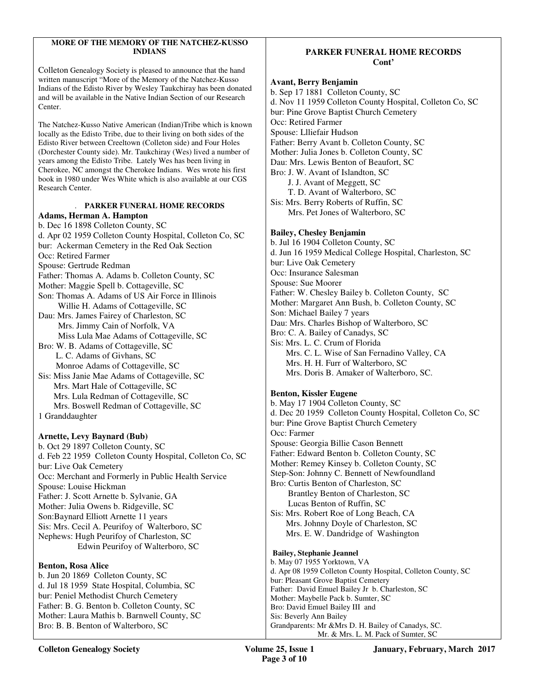#### **MORE OF THE MEMORY OF THE NATCHEZ-KUSSO INDIANS**

Colleton Genealogy Society is pleased to announce that the hand written manuscript "More of the Memory of the Natchez-Kusso Indians of the Edisto River by Wesley Taukchiray has been donated and will be available in the Native Indian Section of our Research Center.

The Natchez-Kusso Native American (Indian)Tribe which is known locally as the Edisto Tribe, due to their living on both sides of the Edisto River between Creeltown (Colleton side) and Four Holes (Dorchester County side). Mr. Taukchiray (Wes) lived a number of years among the Edisto Tribe. Lately Wes has been living in Cherokee, NC amongst the Cherokee Indians. Wes wrote his first book in 1980 under Wes White which is also available at our CGS Research Center.

#### . **PARKER FUNERAL HOME RECORDS Adams, Herman A. Hampton**

b. Dec 16 1898 Colleton County, SC d. Apr 02 1959 Colleton County Hospital, Colleton Co, SC bur: Ackerman Cemetery in the Red Oak Section Occ: Retired Farmer Spouse: Gertrude Redman Father: Thomas A. Adams b. Colleton County, SC Mother: Maggie Spell b. Cottageville, SC Son: Thomas A. Adams of US Air Force in Illinois Willie H. Adams of Cottageville, SC Dau: Mrs. James Fairey of Charleston, SC Mrs. Jimmy Cain of Norfolk, VA Miss Lula Mae Adams of Cottageville, SC Bro: W. B. Adams of Cottageville, SC L. C. Adams of Givhans, SC Monroe Adams of Cottageville, SC Sis: Miss Janie Mae Adams of Cottageville, SC Mrs. Mart Hale of Cottageville, SC Mrs. Lula Redman of Cottageville, SC Mrs. Boswell Redman of Cottageville, SC 1 Granddaughter **Arnette, Levy Baynard (Bub)** 

b. Oct 29 1897 Colleton County, SC d. Feb 22 1959 Colleton County Hospital, Colleton Co, SC bur: Live Oak Cemetery Occ: Merchant and Formerly in Public Health Service Spouse: Louise Hickman Father: J. Scott Arnette b. Sylvanie, GA Mother: Julia Owens b. Ridgeville, SC Son:Baynard Elliott Arnette 11 years Sis: Mrs. Cecil A. Peurifoy of Walterboro, SC Nephews: Hugh Peurifoy of Charleston, SC Edwin Peurifoy of Walterboro, SC

### **Benton, Rosa Alice**

b. Jun 20 1869 Colleton County, SC d. Jul 18 1959 State Hospital, Columbia, SC bur: Peniel Methodist Church Cemetery Father: B. G. Benton b. Colleton County, SC Mother: Laura Mathis b. Barnwell County, SC Bro: B. B. Benton of Walterboro, SC

# **PARKER FUNERAL HOME RECORDS Cont'**

#### **Avant, Berry Benjamin**

b. Sep 17 1881 Colleton County, SC d. Nov 11 1959 Colleton County Hospital, Colleton Co, SC bur: Pine Grove Baptist Church Cemetery Occ: Retired Farmer Spouse: Llliefair Hudson Father: Berry Avant b. Colleton County, SC Mother: Julia Jones b. Colleton County, SC Dau: Mrs. Lewis Benton of Beaufort, SC Bro: J. W. Avant of Islandton, SC J. J. Avant of Meggett, SC T. D. Avant of Walterboro, SC Sis: Mrs. Berry Roberts of Ruffin, SC Mrs. Pet Jones of Walterboro, SC **Bailey, Chesley Benjamin**  b. Jul 16 1904 Colleton County, SC

# d. Jun 16 1959 Medical College Hospital, Charleston, SC

bur: Live Oak Cemetery Occ: Insurance Salesman

Spouse: Sue Moorer

Father: W. Chesley Bailey b. Colleton County, SC Mother: Margaret Ann Bush, b. Colleton County, SC Son: Michael Bailey 7 years Dau: Mrs. Charles Bishop of Walterboro, SC

Bro: C. A. Bailey of Canadys, SC Sis: Mrs. L. C. Crum of Florida Mrs. C. L. Wise of San Fernadino Valley, CA Mrs. H. H. Furr of Walterboro, SC Mrs. Doris B. Amaker of Walterboro, SC.

## **Benton, Kissler Eugene**

b. May 17 1904 Colleton County, SC d. Dec 20 1959 Colleton County Hospital, Colleton Co, SC bur: Pine Grove Baptist Church Cemetery Occ: Farmer Spouse: Georgia Billie Cason Bennett Father: Edward Benton b. Colleton County, SC Mother: Remey Kinsey b. Colleton County, SC Step-Son: Johnny C. Bennett of Newfoundland Bro: Curtis Benton of Charleston, SC Brantley Benton of Charleston, SC Lucas Benton of Ruffin, SC Sis: Mrs. Robert Roe of Long Beach, CA Mrs. Johnny Doyle of Charleston, SC Mrs. E. W. Dandridge of Washington

## **Bailey, Stephanie Jeannel**

b. May 07 1955 Yorktown, VA d. Apr 08 1959 Colleton County Hospital, Colleton County, SC bur: Pleasant Grove Baptist Cemetery Father: David Emuel Bailey Jr b. Charleston, SC Mother: Maybelle Pack b. Sumter, SC Bro: David Emuel Bailey III and Sis: Beverly Ann Bailey Grandparents: Mr &Mrs D. H. Bailey of Canadys, SC. Mr. & Mrs. L. M. Pack of Sumter, SC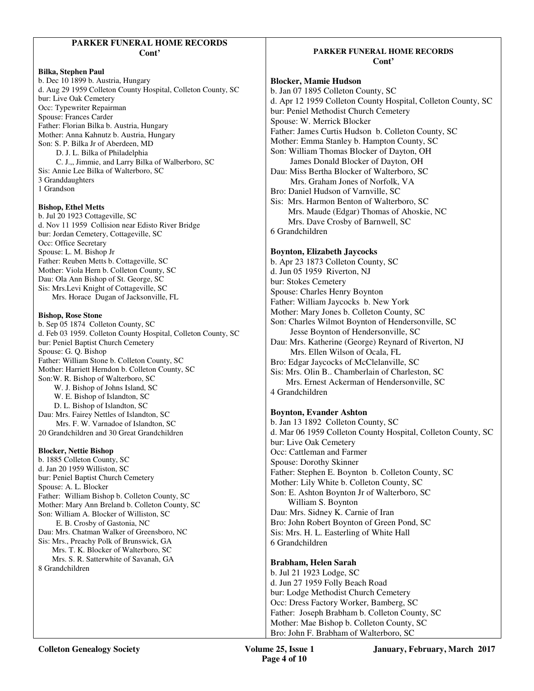## **PARKER FUNERAL HOME RECORDS Cont'**

#### **Bilka, Stephen Paul**

b. Dec 10 1899 b. Austria, Hungary d. Aug 29 1959 Colleton County Hospital, Colleton County, SC bur: Live Oak Cemetery Occ: Typewriter Repairman Spouse: Frances Carder Father: Florian Bilka b. Austria, Hungary Mother: Anna Kahnutz b. Austria, Hungary Son: S. P. Bilka Jr of Aberdeen, MD D. J. L. Bilka of Philadelphia C. J.,, Jimmie, and Larry Bilka of Walberboro, SC Sis: Annie Lee Bilka of Walterboro, SC 3 Granddaughters 1 Grandson

### **Bishop, Ethel Metts**

b. Jul 20 1923 Cottageville, SC d. Nov 11 1959 Collision near Edisto River Bridge bur: Jordan Cemetery, Cottageville, SC Occ: Office Secretary Spouse: L. M. Bishop Jr Father: Reuben Metts b. Cottageville, SC Mother: Viola Hern b. Colleton County, SC Dau: Ola Ann Bishop of St. George, SC Sis: Mrs.Levi Knight of Cottageville, SC Mrs. Horace Dugan of Jacksonville, FL

#### **Bishop, Rose Stone**

b. Sep 05 1874 Colleton County, SC d. Feb 03 1959. Colleton County Hospital, Colleton County, SC bur: Peniel Baptist Church Cemetery Spouse: G. Q. Bishop Father: William Stone b. Colleton County, SC Mother: Harriett Herndon b. Colleton County, SC Son:W. R. Bishop of Walterboro, SC W. J. Bishop of Johns Island, SC W. E. Bishop of Islandton, SC D. L. Bishop of Islandton, SC Dau: Mrs. Fairey Nettles of Islandton, SC Mrs. F. W. Varnadoe of Islandton, SC 20 Grandchildren and 30 Great Grandchildren **Blocker, Nettie Bishop** 

b. 1885 Colleton County, SC d. Jan 20 1959 Williston, SC bur: Peniel Baptist Church Cemetery Spouse: A. L. Blocker Father: William Bishop b. Colleton County, SC Mother: Mary Ann Breland b. Colleton County, SC Son: William A. Blocker of Williston, SC E. B. Crosby of Gastonia, NC Dau: Mrs. Chatman Walker of Greensboro, NC Sis: Mrs., Preachy Polk of Brunswick, GA Mrs. T. K. Blocker of Walterboro, SC Mrs. S. R. Satterwhite of Savanah, GA 8 Grandchildren

## **PARKER FUNERAL HOME RECORDS Cont'**

## **Blocker, Mamie Hudson**

b. Jan 07 1895 Colleton County, SC d. Apr 12 1959 Colleton County Hospital, Colleton County, SC bur: Peniel Methodist Church Cemetery Spouse: W. Merrick Blocker Father: James Curtis Hudson b. Colleton County, SC Mother: Emma Stanley b. Hampton County, SC Son: William Thomas Blocker of Dayton, OH James Donald Blocker of Dayton, OH Dau: Miss Bertha Blocker of Walterboro, SC Mrs. Graham Jones of Norfolk, VA Bro: Daniel Hudson of Varnville, SC Sis: Mrs. Harmon Benton of Walterboro, SC Mrs. Maude (Edgar) Thomas of Ahoskie, NC Mrs. Dave Crosby of Barnwell, SC 6 Grandchildren

## **Boynton, Elizabeth Jaycocks**

b. Apr 23 1873 Colleton County, SC d. Jun 05 1959 Riverton, NJ bur: Stokes Cemetery Spouse: Charles Henry Boynton Father: William Jaycocks b. New York Mother: Mary Jones b. Colleton County, SC Son: Charles Wilmot Boynton of Hendersonville, SC Jesse Boynton of Hendersonville, SC Dau: Mrs. Katherine (George) Reynard of Riverton, NJ Mrs. Ellen Wilson of Ocala, FL Bro: Edgar Jaycocks of McClelanville, SC Sis: Mrs. Olin B.. Chamberlain of Charleston, SC Mrs. Ernest Ackerman of Hendersonville, SC 4 Grandchildren

## **Boynton, Evander Ashton**

b. Jan 13 1892 Colleton County, SC d. Mar 06 1959 Colleton County Hospital, Colleton County, SC bur: Live Oak Cemetery Occ: Cattleman and Farmer Spouse: Dorothy Skinner Father: Stephen E. Boynton b. Colleton County, SC Mother: Lily White b. Colleton County, SC Son: E. Ashton Boynton Jr of Walterboro, SC William S. Boynton Dau: Mrs. Sidney K. Carnie of Iran Bro: John Robert Boynton of Green Pond, SC Sis: Mrs. H. L. Easterling of White Hall 6 Grandchildren

# **Brabham, Helen Sarah**

b. Jul 21 1923 Lodge, SC d. Jun 27 1959 Folly Beach Road bur: Lodge Methodist Church Cemetery Occ: Dress Factory Worker, Bamberg, SC Father: Joseph Brabham b. Colleton County, SC Mother: Mae Bishop b. Colleton County, SC Bro: John F. Brabham of Walterboro, SC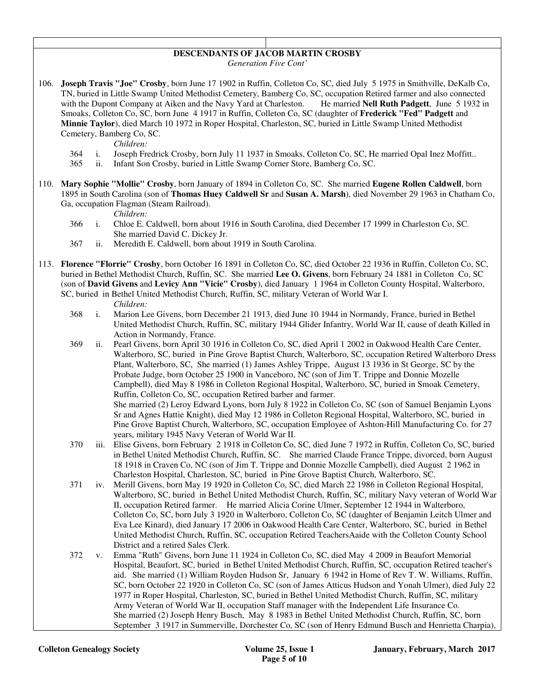# **DESCENDANTS OF JACOB MARTIN CROSBY**

*Generation Five Cont'* 

106. **Joseph Travis "Joe" Crosby**, born June 17 1902 in Ruffin, Colleton Co, SC, died July 5 1975 in Smithville, DeKalb Co, TN, buried in Little Swamp United Methodist Cemetery, Bamberg Co, SC, occupation Retired farmer and also connected with the Dupont Company at Aiken and the Navy Yard at Charleston. He married **Nell Ruth Padgett**, June 5 1932 in Smoaks, Colleton Co, SC, born June 4 1917 in Ruffin, Colleton Co, SC (daughter of **Frederick "Fed" Padgett** and **Minnie Taylor**), died March 10 1972 in Roper Hospital, Charleston, SC, buried in Little Swamp United Methodist Cemetery, Bamberg Co, SC.

*Children:*

- 364 i. Joseph Fredrick Crosby, born July 11 1937 in Smoaks, Colleton Co, SC, He married Opal Inez Moffitt..
- 365 ii. Infant Son Crosby, buried in Little Swamp Corner Store, Bamberg Co, SC.
- 110. **Mary Sophie "Mollie" Crosby**, born January of 1894 in Colleton Co, SC. She married **Eugene Rollen Caldwell**, born 1895 in South Carolina (son of **Thomas Huey Caldwell Sr** and **Susan A. Marsh**), died November 29 1963 in Chatham Co, Ga, occupation Flagman (Steam Railroad).

*Children:*

- 366 i. Chloe E. Caldwell, born about 1916 in South Carolina, died December 17 1999 in Charleston Co, SC. She married David C. Dickey Jr.
- 367 ii. Meredith E. Caldwell, born about 1919 in South Carolina.
- 113. **Florence "Florrie" Crosby**, born October 16 1891 in Colleton Co, SC, died October 22 1936 in Ruffin, Colleton Co, SC, buried in Bethel Methodist Church, Ruffin, SC. She married **Lee O. Givens**, born February 24 1881 in Colleton Co, SC (son of **David Givens** and **Levicy Ann "Vicie" Crosby**), died January 1 1964 in Colleton County Hospital, Walterboro, SC, buried in Bethel United Methodist Church, Ruffin, SC, military Veteran of World War I.

- 368 i. Marion Lee Givens, born December 21 1913, died June 10 1944 in Normandy, France, buried in Bethel United Methodist Church, Ruffin, SC, military 1944 Glider Infantry, World War II, cause of death Killed in Action in Normandy, France.
- 369 ii. Pearl Givens, born April 30 1916 in Colleton Co, SC, died April 1 2002 in Oakwood Health Care Center, Walterboro, SC, buried in Pine Grove Baptist Church, Walterboro, SC, occupation Retired Walterboro Dress Plant, Walterboro, SC, She married (1) James Ashley Trippe, August 13 1936 in St George, SC by the Probate Judge, born October 25 1900 in Vanceboro, NC (son of Jim T. Trippe and Donnie Mozelle Campbell), died May 8 1986 in Colleton Regional Hospital, Walterboro, SC, buried in Smoak Cemetery, Ruffin, Colleton Co, SC, occupation Retired barber and farmer. She married (2) Leroy Edward Lyons, born July 8 1922 in Colleton Co, SC (son of Samuel Benjamin Lyons Sr and Agnes Hattie Knight), died May 12 1986 in Colleton Regional Hospital, Walterboro, SC, buried in Pine Grove Baptist Church, Walterboro, SC, occupation Employee of Ashton-Hill Manufacturing Co. for 27 years, military 1945 Navy Veteran of World War II.
- 370 iii. Elise Givens, born February 2 1918 in Colleton Co, SC, died June 7 1972 in Ruffin, Colleton Co, SC, buried in Bethel United Methodist Church, Ruffin, SC. She married Claude France Trippe, divorced, born August 18 1918 in Craven Co, NC (son of Jim T. Trippe and Donnie Mozelle Campbell), died August 2 1962 in Charleston Hospital, Charleston, SC, buried in Pine Grove Baptist Church, Walterboro, SC.
- 371 iv. Merill Givens, born May 19 1920 in Colleton Co, SC, died March 22 1986 in Colleton Regional Hospital, Walterboro, SC, buried in Bethel United Methodist Church, Ruffin, SC, military Navy veteran of World War II, occupation Retired farmer. He married Alicia Corine Ulmer, September 12 1944 in Walterboro, Colleton Co, SC, born July 3 1920 in Walterboro, Colleton Co, SC (daughter of Benjamin Leitch Ulmer and Eva Lee Kinard), died January 17 2006 in Oakwood Health Care Center, Walterboro, SC, buried in Bethel United Methodist Church, Ruffin, SC, occupation Retired TeachersAaide with the Colleton County School District and a retired Sales Clerk.
- 372 v. Emma "Ruth" Givens, born June 11 1924 in Colleton Co, SC, died May 4 2009 in Beaufort Memorial Hospital, Beaufort, SC, buried in Bethel United Methodist Church, Ruffin, SC, occupation Retired teacher's aid. She married (1) William Royden Hudson Sr, January 6 1942 in Home of Rev T. W. Williams, Ruffin, SC, born October 22 1920 in Colleton Co, SC (son of James Atticus Hudson and Yonah Ulmer), died July 22 1977 in Roper Hospital, Charleston, SC, buried in Bethel United Methodist Church, Ruffin, SC, military Army Veteran of World War II, occupation Staff manager with the Independent Life Insurance Co. She married (2) Joseph Henry Busch, May 8 1983 in Bethel United Methodist Church, Ruffin, SC, born September 3 1917 in Summerville, Dorchester Co, SC (son of Henry Edmund Busch and Henrietta Charpia),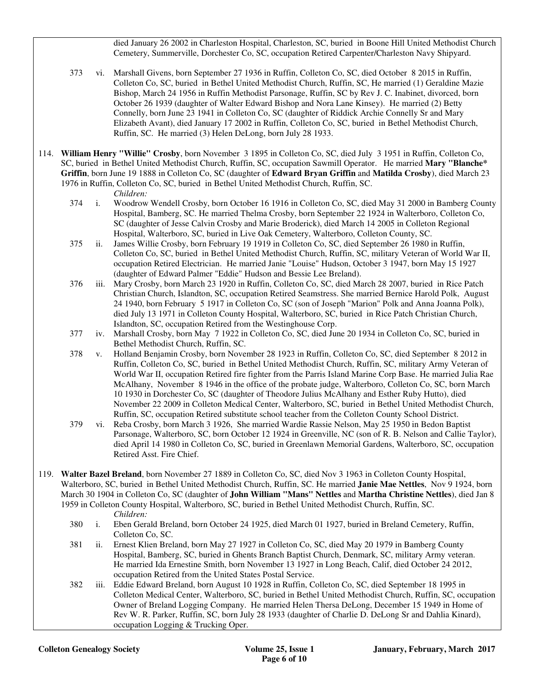died January 26 2002 in Charleston Hospital, Charleston, SC, buried in Boone Hill United Methodist Church Cemetery, Summerville, Dorchester Co, SC, occupation Retired Carpenter/Charleston Navy Shipyard.

- 373 vi. Marshall Givens, born September 27 1936 in Ruffin, Colleton Co, SC, died October 8 2015 in Ruffin, Colleton Co, SC, buried in Bethel United Methodist Church, Ruffin, SC, He married (1) Geraldine Mazie Bishop, March 24 1956 in Ruffin Methodist Parsonage, Ruffin, SC by Rev J. C. Inabinet, divorced, born October 26 1939 (daughter of Walter Edward Bishop and Nora Lane Kinsey). He married (2) Betty Connelly, born June 23 1941 in Colleton Co, SC (daughter of Riddick Archie Connelly Sr and Mary Elizabeth Avant), died January 17 2002 in Ruffin, Colleton Co, SC, buried in Bethel Methodist Church, Ruffin, SC. He married (3) Helen DeLong, born July 28 1933.
- 114. **William Henry "Willie" Crosby**, born November 3 1895 in Colleton Co, SC, died July 3 1951 in Ruffin, Colleton Co, SC, buried in Bethel United Methodist Church, Ruffin, SC, occupation Sawmill Operator. He married **Mary "Blanche\* Griffin**, born June 19 1888 in Colleton Co, SC (daughter of **Edward Bryan Griffin** and **Matilda Crosby**), died March 23 1976 in Ruffin, Colleton Co, SC, buried in Bethel United Methodist Church, Ruffin, SC.

- 374 i. Woodrow Wendell Crosby, born October 16 1916 in Colleton Co, SC, died May 31 2000 in Bamberg County Hospital, Bamberg, SC. He married Thelma Crosby, born September 22 1924 in Walterboro, Colleton Co, SC (daughter of Jesse Calvin Crosby and Marie Broderick), died March 14 2005 in Colleton Regional Hospital, Walterboro, SC, buried in Live Oak Cemetery, Walterboro, Colleton County, SC.
- 375 ii. James Willie Crosby, born February 19 1919 in Colleton Co, SC, died September 26 1980 in Ruffin, Colleton Co, SC, buried in Bethel United Methodist Church, Ruffin, SC, military Veteran of World War II, occupation Retired Electrician. He married Janie "Louise" Hudson, October 3 1947, born May 15 1927 (daughter of Edward Palmer "Eddie" Hudson and Bessie Lee Breland).
- 376 iii. Mary Crosby, born March 23 1920 in Ruffin, Colleton Co, SC, died March 28 2007, buried in Rice Patch Christian Church, Islandton, SC, occupation Retired Seamstress. She married Bernice Harold Polk, August 24 1940, born February 5 1917 in Colleton Co, SC (son of Joseph "Marion" Polk and Anna Joanna Polk), died July 13 1971 in Colleton County Hospital, Walterboro, SC, buried in Rice Patch Christian Church, Islandton, SC, occupation Retired from the Westinghouse Corp.
- 377 iv. Marshall Crosby, born May 7 1922 in Colleton Co, SC, died June 20 1934 in Colleton Co, SC, buried in Bethel Methodist Church, Ruffin, SC.
- 378 v. Holland Benjamin Crosby, born November 28 1923 in Ruffin, Colleton Co, SC, died September 8 2012 in Ruffin, Colleton Co, SC, buried in Bethel United Methodist Church, Ruffin, SC, military Army Veteran of World War II, occupation Retired fire fighter from the Parris Island Marine Corp Base. He married Julia Rae McAlhany, November 8 1946 in the office of the probate judge, Walterboro, Colleton Co, SC, born March 10 1930 in Dorchester Co, SC (daughter of Theodore Julius McAlhany and Esther Ruby Hutto), died November 22 2009 in Colleton Medical Center, Walterboro, SC, buried in Bethel United Methodist Church, Ruffin, SC, occupation Retired substitute school teacher from the Colleton County School District.
- 379 vi. Reba Crosby, born March 3 1926, She married Wardie Rassie Nelson, May 25 1950 in Bedon Baptist Parsonage, Walterboro, SC, born October 12 1924 in Greenville, NC (son of R. B. Nelson and Callie Taylor), died April 14 1980 in Colleton Co, SC, buried in Greenlawn Memorial Gardens, Walterboro, SC, occupation Retired Asst. Fire Chief.
- 119. **Walter Bazel Breland**, born November 27 1889 in Colleton Co, SC, died Nov 3 1963 in Colleton County Hospital, Walterboro, SC, buried in Bethel United Methodist Church, Ruffin, SC. He married **Janie Mae Nettles**, Nov 9 1924, born March 30 1904 in Colleton Co, SC (daughter of **John William "Mans" Nettles** and **Martha Christine Nettles**), died Jan 8 1959 in Colleton County Hospital, Walterboro, SC, buried in Bethel United Methodist Church, Ruffin, SC.
	- *Children:*
	- 380 i. Eben Gerald Breland, born October 24 1925, died March 01 1927, buried in Breland Cemetery, Ruffin, Colleton Co, SC.
	- 381 ii. Ernest Klien Breland, born May 27 1927 in Colleton Co, SC, died May 20 1979 in Bamberg County Hospital, Bamberg, SC, buried in Ghents Branch Baptist Church, Denmark, SC, military Army veteran. He married Ida Ernestine Smith, born November 13 1927 in Long Beach, Calif, died October 24 2012, occupation Retired from the United States Postal Service.
	- 382 iii. Eddie Edward Breland, born August 10 1928 in Ruffin, Colleton Co, SC, died September 18 1995 in Colleton Medical Center, Walterboro, SC, buried in Bethel United Methodist Church, Ruffin, SC, occupation Owner of Breland Logging Company. He married Helen Thersa DeLong, December 15 1949 in Home of Rev W. R. Parker, Ruffin, SC, born July 28 1933 (daughter of Charlie D. DeLong Sr and Dahlia Kinard), occupation Logging & Trucking Oper.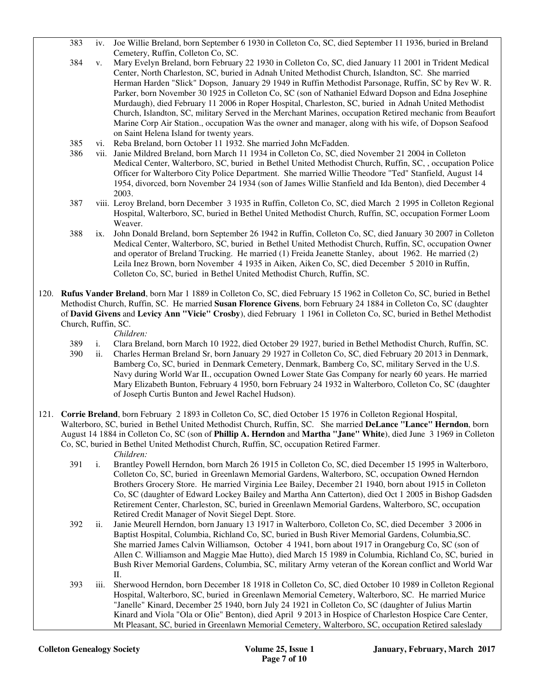- 383 iv. Joe Willie Breland, born September 6 1930 in Colleton Co, SC, died September 11 1936, buried in Breland Cemetery, Ruffin, Colleton Co, SC.
- 384 v. Mary Evelyn Breland, born February 22 1930 in Colleton Co, SC, died January 11 2001 in Trident Medical Center, North Charleston, SC, buried in Adnah United Methodist Church, Islandton, SC. She married Herman Harden "Slick" Dopson, January 29 1949 in Ruffin Methodist Parsonage, Ruffin, SC by Rev W. R. Parker, born November 30 1925 in Colleton Co, SC (son of Nathaniel Edward Dopson and Edna Josephine Murdaugh), died February 11 2006 in Roper Hospital, Charleston, SC, buried in Adnah United Methodist Church, Islandton, SC, military Served in the Merchant Marines, occupation Retired mechanic from Beaufort Marine Corp Air Station., occupation Was the owner and manager, along with his wife, of Dopson Seafood on Saint Helena Island for twenty years.
- 385 vi. Reba Breland, born October 11 1932. She married John McFadden.
- 386 vii. Janie Mildred Breland, born March 11 1934 in Colleton Co, SC, died November 21 2004 in Colleton Medical Center, Walterboro, SC, buried in Bethel United Methodist Church, Ruffin, SC, , occupation Police Officer for Walterboro City Police Department. She married Willie Theodore "Ted" Stanfield, August 14 1954, divorced, born November 24 1934 (son of James Willie Stanfield and Ida Benton), died December 4 2003.
- 387 viii. Leroy Breland, born December 3 1935 in Ruffin, Colleton Co, SC, died March 2 1995 in Colleton Regional Hospital, Walterboro, SC, buried in Bethel United Methodist Church, Ruffin, SC, occupation Former Loom Weaver.
- 388 ix. John Donald Breland, born September 26 1942 in Ruffin, Colleton Co, SC, died January 30 2007 in Colleton Medical Center, Walterboro, SC, buried in Bethel United Methodist Church, Ruffin, SC, occupation Owner and operator of Breland Trucking. He married (1) Freida Jeanette Stanley, about 1962. He married (2) Leila Inez Brown, born November 4 1935 in Aiken, Aiken Co, SC, died December 5 2010 in Ruffin, Colleton Co, SC, buried in Bethel United Methodist Church, Ruffin, SC.
- 120. **Rufus Vander Breland**, born Mar 1 1889 in Colleton Co, SC, died February 15 1962 in Colleton Co, SC, buried in Bethel Methodist Church, Ruffin, SC. He married **Susan Florence Givens**, born February 24 1884 in Colleton Co, SC (daughter of **David Givens** and **Levicy Ann "Vicie" Crosby**), died February 1 1961 in Colleton Co, SC, buried in Bethel Methodist Church, Ruffin, SC.
	- *Children:*
	- 389 i. Clara Breland, born March 10 1922, died October 29 1927, buried in Bethel Methodist Church, Ruffin, SC.
	- 390 ii. Charles Herman Breland Sr, born January 29 1927 in Colleton Co, SC, died February 20 2013 in Denmark, Bamberg Co, SC, buried in Denmark Cemetery, Denmark, Bamberg Co, SC, military Served in the U.S. Navy during World War II., occupation Owned Lower State Gas Company for nearly 60 years. He married Mary Elizabeth Bunton, February 4 1950, born February 24 1932 in Walterboro, Colleton Co, SC (daughter of Joseph Curtis Bunton and Jewel Rachel Hudson).
- 121. **Corrie Breland**, born February 2 1893 in Colleton Co, SC, died October 15 1976 in Colleton Regional Hospital, Walterboro, SC, buried in Bethel United Methodist Church, Ruffin, SC. She married **DeLance "Lance" Herndon**, born August 14 1884 in Colleton Co, SC (son of **Phillip A. Herndon** and **Martha "Jane" White**), died June 3 1969 in Colleton Co, SC, buried in Bethel United Methodist Church, Ruffin, SC, occupation Retired Farmer. *Children:*
	- 391 i. Brantley Powell Herndon, born March 26 1915 in Colleton Co, SC, died December 15 1995 in Walterboro, Colleton Co, SC, buried in Greenlawn Memorial Gardens, Walterboro, SC, occupation Owned Herndon Brothers Grocery Store. He married Virginia Lee Bailey, December 21 1940, born about 1915 in Colleton Co, SC (daughter of Edward Lockey Bailey and Martha Ann Catterton), died Oct 1 2005 in Bishop Gadsden Retirement Center, Charleston, SC, buried in Greenlawn Memorial Gardens, Walterboro, SC, occupation Retired Credit Manager of Novit Siegel Dept. Store.
	- 392 ii. Janie Meurell Herndon, born January 13 1917 in Walterboro, Colleton Co, SC, died December 3 2006 in Baptist Hospital, Columbia, Richland Co, SC, buried in Bush River Memorial Gardens, Columbia,SC. She married James Calvin Williamson, October 4 1941, born about 1917 in Orangeburg Co, SC (son of Allen C. Williamson and Maggie Mae Hutto), died March 15 1989 in Columbia, Richland Co, SC, buried in Bush River Memorial Gardens, Columbia, SC, military Army veteran of the Korean conflict and World War II.
	- 393 iii. Sherwood Herndon, born December 18 1918 in Colleton Co, SC, died October 10 1989 in Colleton Regional Hospital, Walterboro, SC, buried in Greenlawn Memorial Cemetery, Walterboro, SC. He married Murice "Janelle" Kinard, December 25 1940, born July 24 1921 in Colleton Co, SC (daughter of Julius Martin Kinard and Viola "Ola or OIie" Benton), died April 9 2013 in Hospice of Charleston Hospice Care Center, Mt Pleasant, SC, buried in Greenlawn Memorial Cemetery, Walterboro, SC, occupation Retired saleslady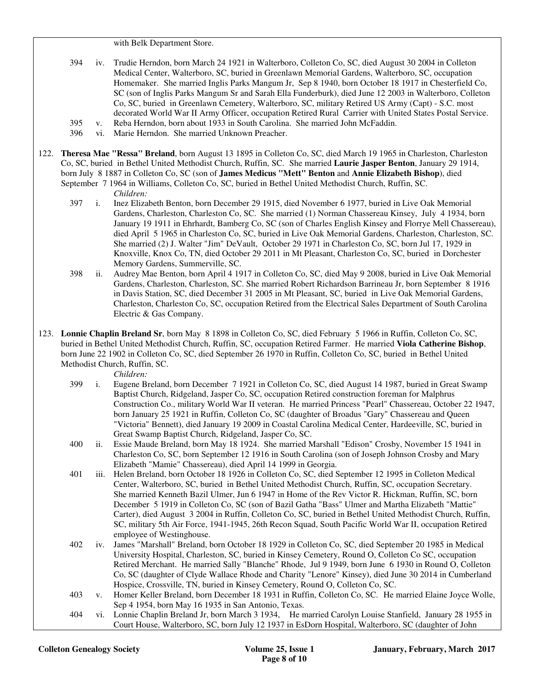with Belk Department Store.

- 394 iv. Trudie Herndon, born March 24 1921 in Walterboro, Colleton Co, SC, died August 30 2004 in Colleton Medical Center, Walterboro, SC, buried in Greenlawn Memorial Gardens, Walterboro, SC, occupation Homemaker. She married Inglis Parks Mangum Jr, Sep 8 1940, born October 18 1917 in Chesterfield Co, SC (son of Inglis Parks Mangum Sr and Sarah Ella Funderburk), died June 12 2003 in Walterboro, Colleton Co, SC, buried in Greenlawn Cemetery, Walterboro, SC, military Retired US Army (Capt) - S.C. most decorated World War II Army Officer, occupation Retired Rural Carrier with United States Postal Service.
- 395 v. Reba Herndon, born about 1933 in South Carolina. She married John McFaddin.
- 396 vi. Marie Herndon. She married Unknown Preacher.
- 122. **Theresa Mae "Ressa" Breland**, born August 13 1895 in Colleton Co, SC, died March 19 1965 in Charleston, Charleston Co, SC, buried in Bethel United Methodist Church, Ruffin, SC. She married **Laurie Jasper Benton**, January 29 1914, born July 8 1887 in Colleton Co, SC (son of **James Medicus "Mett" Benton** and **Annie Elizabeth Bishop**), died September 7 1964 in Williams, Colleton Co, SC, buried in Bethel United Methodist Church, Ruffin, SC.

- 397 i. Inez Elizabeth Benton, born December 29 1915, died November 6 1977, buried in Live Oak Memorial Gardens, Charleston, Charleston Co, SC. She married (1) Norman Chassereau Kinsey, July 4 1934, born January 19 1911 in Ehrhardt, Bamberg Co, SC (son of Charles English Kinsey and Florrye Mell Chassereau), died April 5 1965 in Charleston Co, SC, buried in Live Oak Memorial Gardens, Charleston, Charleston, SC. She married (2) J. Walter "Jim" DeVault, October 29 1971 in Charleston Co, SC, born Jul 17, 1929 in Knoxville, Knox Co, TN, died October 29 2011 in Mt Pleasant, Charleston Co, SC, buried in Dorchester Memory Gardens, Summerville, SC.
- 398 ii. Audrey Mae Benton, born April 4 1917 in Colleton Co, SC, died May 9 2008, buried in Live Oak Memorial Gardens, Charleston, Charleston, SC. She married Robert Richardson Barrineau Jr, born September 8 1916 in Davis Station, SC, died December 31 2005 in Mt Pleasant, SC, buried in Live Oak Memorial Gardens, Charleston, Charleston Co, SC, occupation Retired from the Electrical Sales Department of South Carolina Electric & Gas Company.
- 123. **Lonnie Chaplin Breland Sr**, born May 8 1898 in Colleton Co, SC, died February 5 1966 in Ruffin, Colleton Co, SC, buried in Bethel United Methodist Church, Ruffin, SC, occupation Retired Farmer. He married **Viola Catherine Bishop**, born June 22 1902 in Colleton Co, SC, died September 26 1970 in Ruffin, Colleton Co, SC, buried in Bethel United Methodist Church, Ruffin, SC.

- *Children:*<br>399 *i.* Eugene B i. Eugene Breland, born December 7 1921 in Colleton Co, SC, died August 14 1987, buried in Great Swamp Baptist Church, Ridgeland, Jasper Co, SC, occupation Retired construction foreman for Malphrus Construction Co., military World War II veteran. He married Princess "Pearl" Chassereau, October 22 1947, born January 25 1921 in Ruffin, Colleton Co, SC (daughter of Broadus "Gary" Chassereau and Queen "Victoria" Bennett), died January 19 2009 in Coastal Carolina Medical Center, Hardeeville, SC, buried in Great Swamp Baptist Church, Ridgeland, Jasper Co, SC.
- 400 ii. Essie Maude Breland, born May 18 1924. She married Marshall "Edison" Crosby, November 15 1941 in Charleston Co, SC, born September 12 1916 in South Carolina (son of Joseph Johnson Crosby and Mary Elizabeth "Mamie" Chassereau), died April 14 1999 in Georgia.
- 401 iii. Helen Breland, born October 18 1926 in Colleton Co, SC, died September 12 1995 in Colleton Medical Center, Walterboro, SC, buried in Bethel United Methodist Church, Ruffin, SC, occupation Secretary. She married Kenneth Bazil Ulmer, Jun 6 1947 in Home of the Rev Victor R. Hickman, Ruffin, SC, born December 5 1919 in Colleton Co, SC (son of Bazil Gatha "Bass" Ulmer and Martha Elizabeth "Mattie" Carter), died August 3 2004 in Ruffin, Colleton Co, SC, buried in Bethel United Methodist Church, Ruffin, SC, military 5th Air Force, 1941-1945, 26th Recon Squad, South Pacific World War II, occupation Retired employee of Westinghouse.
- 402 iv. James "Marshall" Breland, born October 18 1929 in Colleton Co, SC, died September 20 1985 in Medical University Hospital, Charleston, SC, buried in Kinsey Cemetery, Round O, Colleton Co SC, occupation Retired Merchant. He married Sally "Blanche" Rhode, Jul 9 1949, born June 6 1930 in Round O, Colleton Co, SC (daughter of Clyde Wallace Rhode and Charity "Lenore" Kinsey), died June 30 2014 in Cumberland Hospice, Crossville, TN, buried in Kinsey Cemetery, Round O, Colleton Co, SC.
- 403 v. Homer Keller Breland, born December 18 1931 in Ruffin, Colleton Co, SC. He married Elaine Joyce Wolle, Sep 4 1954, born May 16 1935 in San Antonio, Texas.
- 404 vi. Lonnie Chaplin Breland Jr, born March 3 1934, He married Carolyn Louise Stanfield, January 28 1955 in Court House, Walterboro, SC, born July 12 1937 in EsDorn Hospital, Walterboro, SC (daughter of John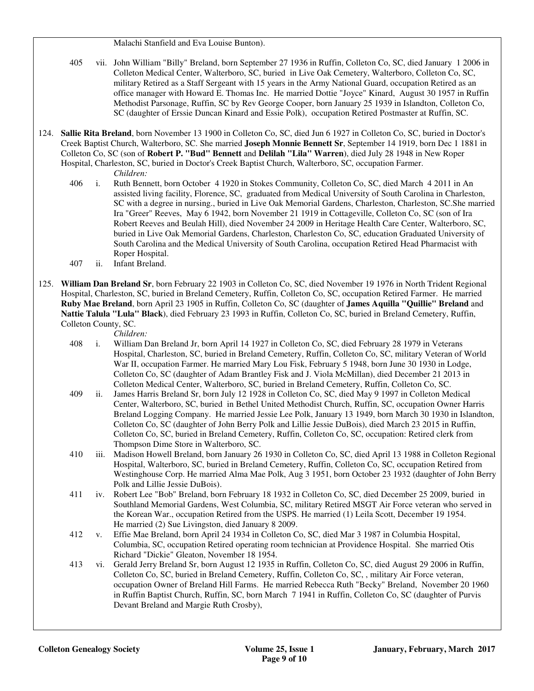Malachi Stanfield and Eva Louise Bunton).

 405 vii. John William "Billy" Breland, born September 27 1936 in Ruffin, Colleton Co, SC, died January 1 2006 in Colleton Medical Center, Walterboro, SC, buried in Live Oak Cemetery, Walterboro, Colleton Co, SC, military Retired as a Staff Sergeant with 15 years in the Army National Guard, occupation Retired as an office manager with Howard E. Thomas Inc. He married Dottie "Joyce" Kinard, August 30 1957 in Ruffin Methodist Parsonage, Ruffin, SC by Rev George Cooper, born January 25 1939 in Islandton, Colleton Co, SC (daughter of Erssie Duncan Kinard and Essie Polk), occupation Retired Postmaster at Ruffin, SC.

- 124. **Sallie Rita Breland**, born November 13 1900 in Colleton Co, SC, died Jun 6 1927 in Colleton Co, SC, buried in Doctor's Creek Baptist Church, Walterboro, SC. She married **Joseph Monnie Bennett Sr**, September 14 1919, born Dec 1 1881 in Colleton Co, SC (son of **Robert P. "Bud" Bennett** and **Delilah "Lila" Warren**), died July 28 1948 in New Roper Hospital, Charleston, SC, buried in Doctor's Creek Baptist Church, Walterboro, SC, occupation Farmer. *Children:*
	- 406 i. Ruth Bennett, born October 4 1920 in Stokes Community, Colleton Co, SC, died March 4 2011 in An assisted living facility, Florence, SC, graduated from Medical University of South Carolina in Charleston, SC with a degree in nursing., buried in Live Oak Memorial Gardens, Charleston, Charleston, SC.She married Ira "Greer" Reeves, May 6 1942, born November 21 1919 in Cottageville, Colleton Co, SC (son of Ira Robert Reeves and Beulah Hill), died November 24 2009 in Heritage Health Care Center, Walterboro, SC, buried in Live Oak Memorial Gardens, Charleston, Charleston Co, SC, education Graduated University of South Carolina and the Medical University of South Carolina, occupation Retired Head Pharmacist with Roper Hospital.
	- 407 ii. Infant Breland.
- 125. **William Dan Breland Sr**, born February 22 1903 in Colleton Co, SC, died November 19 1976 in North Trident Regional Hospital, Charleston, SC, buried in Breland Cemetery, Ruffin, Colleton Co, SC, occupation Retired Farmer. He married **Ruby Mae Breland**, born April 23 1905 in Ruffin, Colleton Co, SC (daughter of **James Aquilla "Quillie" Breland** and **Nattie Talula "Lula" Black**), died February 23 1993 in Ruffin, Colleton Co, SC, buried in Breland Cemetery, Ruffin, Colleton County, SC.

- 408 i. William Dan Breland Jr, born April 14 1927 in Colleton Co, SC, died February 28 1979 in Veterans Hospital, Charleston, SC, buried in Breland Cemetery, Ruffin, Colleton Co, SC, military Veteran of World War II, occupation Farmer. He married Mary Lou Fisk, February 5 1948, born June 30 1930 in Lodge, Colleton Co, SC (daughter of Adam Brantley Fisk and J. Viola McMillan), died December 21 2013 in Colleton Medical Center, Walterboro, SC, buried in Breland Cemetery, Ruffin, Colleton Co, SC.
- 409 ii. James Harris Breland Sr, born July 12 1928 in Colleton Co, SC, died May 9 1997 in Colleton Medical Center, Walterboro, SC, buried in Bethel United Methodist Church, Ruffin, SC, occupation Owner Harris Breland Logging Company. He married Jessie Lee Polk, January 13 1949, born March 30 1930 in Islandton, Colleton Co, SC (daughter of John Berry Polk and Lillie Jessie DuBois), died March 23 2015 in Ruffin, Colleton Co, SC, buried in Breland Cemetery, Ruffin, Colleton Co, SC, occupation: Retired clerk from Thompson Dime Store in Walterboro, SC.
- 410 iii. Madison Howell Breland, born January 26 1930 in Colleton Co, SC, died April 13 1988 in Colleton Regional Hospital, Walterboro, SC, buried in Breland Cemetery, Ruffin, Colleton Co, SC, occupation Retired from Westinghouse Corp. He married Alma Mae Polk, Aug 3 1951, born October 23 1932 (daughter of John Berry Polk and Lillie Jessie DuBois).
- 411 iv. Robert Lee "Bob" Breland, born February 18 1932 in Colleton Co, SC, died December 25 2009, buried in Southland Memorial Gardens, West Columbia, SC, military Retired MSGT Air Force veteran who served in the Korean War., occupation Retired from the USPS. He married (1) Leila Scott, December 19 1954. He married (2) Sue Livingston, died January 8 2009.
- 412 v. Effie Mae Breland, born April 24 1934 in Colleton Co, SC, died Mar 3 1987 in Columbia Hospital, Columbia, SC, occupation Retired operating room technician at Providence Hospital. She married Otis Richard "Dickie" Gleaton, November 18 1954.
- 413 vi. Gerald Jerry Breland Sr, born August 12 1935 in Ruffin, Colleton Co, SC, died August 29 2006 in Ruffin, Colleton Co, SC, buried in Breland Cemetery, Ruffin, Colleton Co, SC, , military Air Force veteran, occupation Owner of Breland Hill Farms. He married Rebecca Ruth "Becky" Breland, November 20 1960 in Ruffin Baptist Church, Ruffin, SC, born March 7 1941 in Ruffin, Colleton Co, SC (daughter of Purvis Devant Breland and Margie Ruth Crosby),